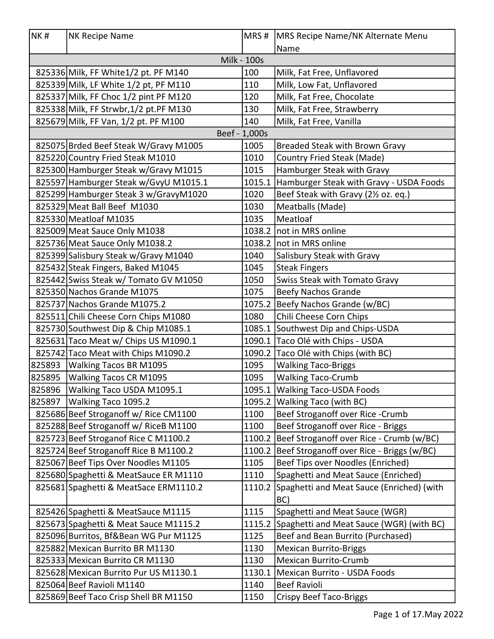| NK#    | NK Recipe Name                         |                    | MRS # MRS Recipe Name/NK Alternate Menu          |
|--------|----------------------------------------|--------------------|--------------------------------------------------|
|        |                                        |                    | Name                                             |
|        |                                        | <b>Milk - 100s</b> |                                                  |
|        | 825336 Milk, FF White1/2 pt. PF M140   | 100                | Milk, Fat Free, Unflavored                       |
|        | 825339 Milk, LF White 1/2 pt, PF M110  | 110                | Milk, Low Fat, Unflavored                        |
|        | 825337 Milk, FF Choc 1/2 pint PF M120  | 120                | Milk, Fat Free, Chocolate                        |
|        | 825338 Milk, FF Strwbr, 1/2 pt.PF M130 | 130                | Milk, Fat Free, Strawberry                       |
|        | 825679 Milk, FF Van, 1/2 pt. PF M100   | 140                | Milk, Fat Free, Vanilla                          |
|        |                                        | Beef - 1,000s      |                                                  |
|        | 825075 Brded Beef Steak W/Gravy M1005  | 1005               | Breaded Steak with Brown Gravy                   |
|        | 825220 Country Fried Steak M1010       | 1010               | Country Fried Steak (Made)                       |
|        | 825300 Hamburger Steak w/Gravy M1015   | 1015               | Hamburger Steak with Gravy                       |
|        | 825597 Hamburger Steak w/GvyU M1015.1  | 1015.1             | Hamburger Steak with Gravy - USDA Foods          |
|        | 825299 Hamburger Steak 3 w/GravyM1020  | 1020               | Beef Steak with Gravy (21/2 oz. eq.)             |
|        | 825329 Meat Ball Beef M1030            | 1030               | Meatballs (Made)                                 |
|        | 825330 Meatloaf M1035                  | 1035               | Meatloaf                                         |
|        | 825009 Meat Sauce Only M1038           |                    | 1038.2   not in MRS online                       |
|        | 825736 Meat Sauce Only M1038.2         |                    | 1038.2   not in MRS online                       |
|        | 825399 Salisbury Steak w/Gravy M1040   | 1040               | Salisbury Steak with Gravy                       |
|        | 825432 Steak Fingers, Baked M1045      | 1045               | <b>Steak Fingers</b>                             |
|        | 825442 Swiss Steak w/ Tomato GV M1050  | 1050               | Swiss Steak with Tomato Gravy                    |
|        | 825350 Nachos Grande M1075             | 1075               | <b>Beefy Nachos Grande</b>                       |
|        | 825737 Nachos Grande M1075.2           |                    | 1075.2 Beefy Nachos Grande (w/BC)                |
|        | 825511 Chili Cheese Corn Chips M1080   | 1080               | Chili Cheese Corn Chips                          |
|        | 825730 Southwest Dip & Chip M1085.1    |                    | 1085.1 Southwest Dip and Chips-USDA              |
|        | 825631 Taco Meat w/ Chips US M1090.1   |                    | 1090.1 Taco Olé with Chips - USDA                |
|        | 825742 Taco Meat with Chips M1090.2    |                    | 1090.2 Taco Olé with Chips (with BC)             |
|        | 825893 Walking Tacos BR M1095          | 1095               | <b>Walking Taco-Briggs</b>                       |
| 825895 | Walking Tacos CR M1095                 | 1095               | <b>Walking Taco-Crumb</b>                        |
|        | 825896   Walking Taco USDA M1095.1     |                    | 1095.1 Walking Taco-USDA Foods                   |
| 825897 | Walking Taco 1095.2                    |                    | 1095.2 Walking Taco (with BC)                    |
|        | 825686 Beef Stroganoff w/ Rice CM1100  | 1100               | Beef Stroganoff over Rice - Crumb                |
|        | 825288 Beef Stroganoff w/ RiceB M1100  | 1100               | Beef Stroganoff over Rice - Briggs               |
|        | 825723 Beef Stroganof Rice C M1100.2   |                    | 1100.2 Beef Stroganoff over Rice - Crumb (w/BC)  |
|        | 825724 Beef Stroganoff Rice B M1100.2  |                    | 1100.2 Beef Stroganoff over Rice - Briggs (w/BC) |
|        | 825067 Beef Tips Over Noodles M1105    | 1105               | Beef Tips over Noodles (Enriched)                |
|        | 825680 Spaghetti & MeatSauce ER M1110  | 1110               | Spaghetti and Meat Sauce (Enriched)              |
|        | 825681 Spaghetti & MeatSace ERM1110.2  |                    | 1110.2 Spaghetti and Meat Sauce (Enriched) (with |
|        |                                        |                    | BC)                                              |
|        | 825426 Spaghetti & MeatSauce M1115     | 1115               | Spaghetti and Meat Sauce (WGR)                   |
|        | 825673 Spaghetti & Meat Sauce M1115.2  |                    | 1115.2 Spaghetti and Meat Sauce (WGR) (with BC)  |
|        | 825096 Burritos, Bf&Bean WG Pur M1125  | 1125               | Beef and Bean Burrito (Purchased)                |
|        | 825882 Mexican Burrito BR M1130        | 1130               | <b>Mexican Burrito-Briggs</b>                    |
|        | 825333 Mexican Burrito CR M1130        | 1130               | <b>Mexican Burrito-Crumb</b>                     |
|        | 825628 Mexican Burrito Pur US M1130.1  | 1130.1             | Mexican Burrito - USDA Foods                     |
|        | 825064 Beef Ravioli M1140              | 1140               | <b>Beef Ravioli</b>                              |
|        | 825869 Beef Taco Crisp Shell BR M1150  | 1150               | <b>Crispy Beef Taco-Briggs</b>                   |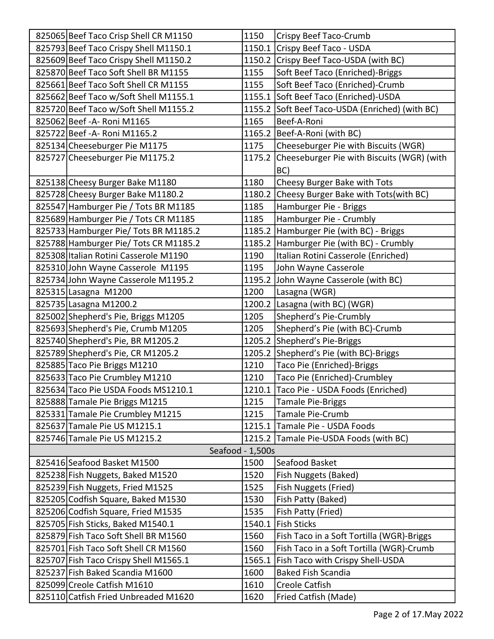| 825065 Beef Taco Crisp Shell CR M1150 | 1150             | Crispy Beef Taco-Crumb                            |
|---------------------------------------|------------------|---------------------------------------------------|
| 825793 Beef Taco Crispy Shell M1150.1 |                  | 1150.1 Crispy Beef Taco - USDA                    |
| 825609 Beef Taco Crispy Shell M1150.2 |                  | 1150.2 Crispy Beef Taco-USDA (with BC)            |
| 825870 Beef Taco Soft Shell BR M1155  | 1155             | Soft Beef Taco (Enriched)-Briggs                  |
| 825661 Beef Taco Soft Shell CR M1155  | 1155             | Soft Beef Taco (Enriched)-Crumb                   |
| 825662 Beef Taco w/Soft Shell M1155.1 |                  | 1155.1 Soft Beef Taco (Enriched)-USDA             |
| 825720 Beef Taco w/Soft Shell M1155.2 |                  | 1155.2 Soft Beef Taco-USDA (Enriched) (with BC)   |
| 825062 Beef - A - Roni M1165          | 1165             | Beef-A-Roni                                       |
| 825722 Beef - A- Roni M1165.2         |                  | 1165.2   Beef-A-Roni (with BC)                    |
| 825134 Cheeseburger Pie M1175         | 1175             | Cheeseburger Pie with Biscuits (WGR)              |
| 825727 Cheeseburger Pie M1175.2       |                  | 1175.2 Cheeseburger Pie with Biscuits (WGR) (with |
|                                       |                  | BC)                                               |
| 825138 Cheesy Burger Bake M1180       | 1180             | Cheesy Burger Bake with Tots                      |
| 825728 Cheesy Burger Bake M1180.2     |                  | 1180.2 Cheesy Burger Bake with Tots(with BC)      |
| 825547 Hamburger Pie / Tots BR M1185  | 1185             | Hamburger Pie - Briggs                            |
| 825689 Hamburger Pie / Tots CR M1185  | 1185             | Hamburger Pie - Crumbly                           |
| 825733 Hamburger Pie/ Tots BR M1185.2 |                  | 1185.2 Hamburger Pie (with BC) - Briggs           |
| 825788 Hamburger Pie/ Tots CR M1185.2 |                  | 1185.2 Hamburger Pie (with BC) - Crumbly          |
| 825308 Italian Rotini Casserole M1190 | 1190             | Italian Rotini Casserole (Enriched)               |
| 825310 John Wayne Casserole M1195     | 1195             | John Wayne Casserole                              |
| 825734 John Wayne Casserole M1195.2   |                  | 1195.2 John Wayne Casserole (with BC)             |
| 825315 Lasagna M1200                  | 1200             | Lasagna (WGR)                                     |
| 825735 Lasagna M1200.2                |                  | 1200.2 Lasagna (with BC) (WGR)                    |
| 825002 Shepherd's Pie, Briggs M1205   | 1205             | Shepherd's Pie-Crumbly                            |
| 825693 Shepherd's Pie, Crumb M1205    | 1205             | Shepherd's Pie (with BC)-Crumb                    |
| 825740 Shepherd's Pie, BR M1205.2     |                  | 1205.2 Shepherd's Pie-Briggs                      |
| 825789 Shepherd's Pie, CR M1205.2     |                  | 1205.2 Shepherd's Pie (with BC)-Briggs            |
| 825885 Taco Pie Briggs M1210          | 1210             | Taco Pie (Enriched)-Briggs                        |
| 825633 Taco Pie Crumbley M1210        | 1210             | Taco Pie (Enriched)-Crumbley                      |
| 825634 Taco Pie USDA Foods MS1210.1   |                  | 1210.1 Taco Pie - USDA Foods (Enriched)           |
| 825888 Tamale Pie Briggs M1215        | 1215             | <b>Tamale Pie-Briggs</b>                          |
| 825331 Tamale Pie Crumbley M1215      | 1215             | Tamale Pie-Crumb                                  |
| 825637 Tamale Pie US M1215.1          |                  | 1215.1 Tamale Pie - USDA Foods                    |
| 825746 Tamale Pie US M1215.2          |                  | 1215.2 Tamale Pie-USDA Foods (with BC)            |
|                                       | Seafood - 1,500s |                                                   |
| 825416 Seafood Basket M1500           | 1500             | Seafood Basket                                    |
| 825238 Fish Nuggets, Baked M1520      | 1520             | Fish Nuggets (Baked)                              |
| 825239 Fish Nuggets, Fried M1525      | 1525             | Fish Nuggets (Fried)                              |
| 825205 Codfish Square, Baked M1530    | 1530             | Fish Patty (Baked)                                |
| 825206 Codfish Square, Fried M1535    | 1535             | Fish Patty (Fried)                                |
| 825705 Fish Sticks, Baked M1540.1     | 1540.1           | <b>Fish Sticks</b>                                |
| 825879 Fish Taco Soft Shell BR M1560  | 1560             | Fish Taco in a Soft Tortilla (WGR)-Briggs         |
| 825701 Fish Taco Soft Shell CR M1560  | 1560             | Fish Taco in a Soft Tortilla (WGR)-Crumb          |
| 825707 Fish Taco Crispy Shell M1565.1 | 1565.1           | Fish Taco with Crispy Shell-USDA                  |
| 825237 Fish Baked Scandia M1600       | 1600             | <b>Baked Fish Scandia</b>                         |
| 825099 Creole Catfish M1610           | 1610             | <b>Creole Catfish</b>                             |
| 825110 Catfish Fried Unbreaded M1620  | 1620             | Fried Catfish (Made)                              |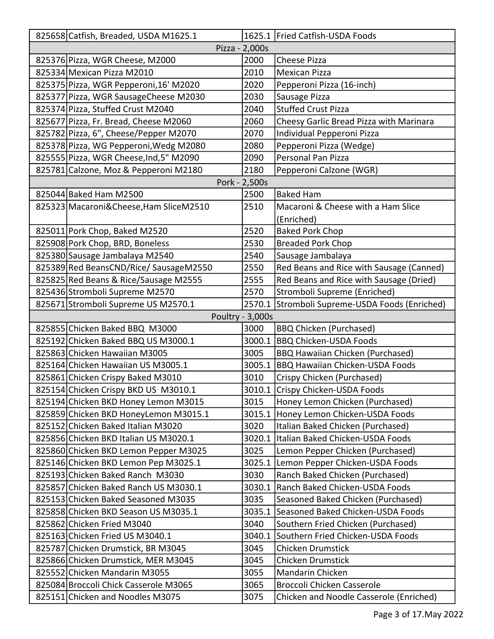| 825658 Catfish, Breaded, USDA M1625.1    |                  | 1625.1 Fried Catfish-USDA Foods          |
|------------------------------------------|------------------|------------------------------------------|
|                                          | Pizza - 2,000s   |                                          |
| 825376 Pizza, WGR Cheese, M2000          | 2000             | <b>Cheese Pizza</b>                      |
| 825334 Mexican Pizza M2010               | 2010             | <b>Mexican Pizza</b>                     |
| 825375 Pizza, WGR Pepperoni, 16' M2020   | 2020             | Pepperoni Pizza (16-inch)                |
| 825377 Pizza, WGR SausageCheese M2030    | 2030             | Sausage Pizza                            |
| 825374 Pizza, Stuffed Crust M2040        | 2040             | <b>Stuffed Crust Pizza</b>               |
| 825677 Pizza, Fr. Bread, Cheese M2060    | 2060             | Cheesy Garlic Bread Pizza with Marinara  |
| 825782 Pizza, 6", Cheese/Pepper M2070    | 2070             | Individual Pepperoni Pizza               |
| 825378 Pizza, WG Pepperoni, Wedg M2080   | 2080             | Pepperoni Pizza (Wedge)                  |
| 825555 Pizza, WGR Cheese, Ind, 5" M2090  | 2090             | <b>Personal Pan Pizza</b>                |
| 825781 Calzone, Moz & Pepperoni M2180    | 2180             | Pepperoni Calzone (WGR)                  |
|                                          | Pork - 2,500s    |                                          |
| 825044 Baked Ham M2500                   | 2500             | <b>Baked Ham</b>                         |
| 825323 Macaroni& Cheese, Ham Slice M2510 | 2510             | Macaroni & Cheese with a Ham Slice       |
|                                          |                  | (Enriched)                               |
| 825011 Pork Chop, Baked M2520            | 2520             | <b>Baked Pork Chop</b>                   |
| 825908 Pork Chop, BRD, Boneless          | 2530             | <b>Breaded Pork Chop</b>                 |
| 825380 Sausage Jambalaya M2540           | 2540             | Sausage Jambalaya                        |
| 825389 Red BeansCND/Rice/ SausageM2550   | 2550             | Red Beans and Rice with Sausage (Canned) |
| 825825 Red Beans & Rice/Sausage M2555    | 2555             | Red Beans and Rice with Sausage (Dried)  |
| 825436 Stromboli Supreme M2570           | 2570             | Stromboli Supreme (Enriched)             |
| 825671 Stromboli Supreme US M2570.1      | 2570.1           | Stromboli Supreme-USDA Foods (Enriched)  |
|                                          | Poultry - 3,000s |                                          |
| 825855 Chicken Baked BBQ M3000           | 3000             | <b>BBQ Chicken (Purchased)</b>           |
| 825192 Chicken Baked BBQ US M3000.1      | 3000.1           | <b>BBQ Chicken-USDA Foods</b>            |
| 825863 Chicken Hawaiian M3005            | 3005             | <b>BBQ Hawaiian Chicken (Purchased)</b>  |
| 825164 Chicken Hawaiian US M3005.1       | 3005.1           | <b>BBQ Hawaiian Chicken-USDA Foods</b>   |
| 825861 Chicken Crispy Baked M3010        | 3010             | Crispy Chicken (Purchased)               |
| 825154 Chicken Crispy BKD US M3010.1     |                  | 3010.1 Crispy Chicken-USDA Foods         |
| 825194 Chicken BKD Honey Lemon M3015     | 3015             | Honey Lemon Chicken (Purchased)          |
| 825859 Chicken BKD HoneyLemon M3015.1    |                  | 3015.1 Honey Lemon Chicken-USDA Foods    |
| 825152 Chicken Baked Italian M3020       | 3020             | Italian Baked Chicken (Purchased)        |
| 825856 Chicken BKD Italian US M3020.1    | 3020.1           | Italian Baked Chicken-USDA Foods         |
| 825860 Chicken BKD Lemon Pepper M3025    | 3025             | Lemon Pepper Chicken (Purchased)         |
| 825146 Chicken BKD Lemon Pep M3025.1     | 3025.1           | Lemon Pepper Chicken-USDA Foods          |
| 825193 Chicken Baked Ranch M3030         | 3030             | Ranch Baked Chicken (Purchased)          |
| 825857 Chicken Baked Ranch US M3030.1    | 3030.1           | Ranch Baked Chicken-USDA Foods           |
| 825153 Chicken Baked Seasoned M3035      | 3035             | Seasoned Baked Chicken (Purchased)       |
| 825858 Chicken BKD Season US M3035.1     | 3035.1           | Seasoned Baked Chicken-USDA Foods        |
| 825862 Chicken Fried M3040               | 3040             | Southern Fried Chicken (Purchased)       |
| 825163 Chicken Fried US M3040.1          | 3040.1           | Southern Fried Chicken-USDA Foods        |
| 825787 Chicken Drumstick, BR M3045       | 3045             | <b>Chicken Drumstick</b>                 |
| 825866 Chicken Drumstick, MER M3045      | 3045             | <b>Chicken Drumstick</b>                 |
| 825552 Chicken Mandarin M3055            | 3055             | Mandarin Chicken                         |
| 825084 Broccoli Chick Casserole M3065    | 3065             | Broccoli Chicken Casserole               |
| 825151 Chicken and Noodles M3075         | 3075             | Chicken and Noodle Casserole (Enriched)  |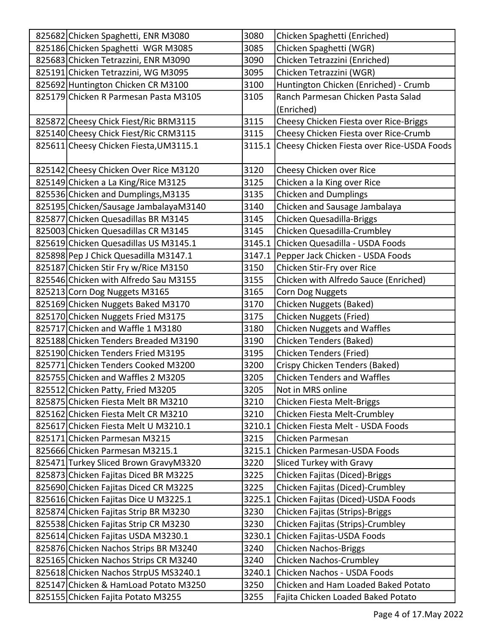| 825682 Chicken Spaghetti, ENR M3080    | 3080   | Chicken Spaghetti (Enriched)                      |
|----------------------------------------|--------|---------------------------------------------------|
| 825186 Chicken Spaghetti WGR M3085     | 3085   | Chicken Spaghetti (WGR)                           |
| 825683 Chicken Tetrazzini, ENR M3090   | 3090   | Chicken Tetrazzini (Enriched)                     |
| 825191 Chicken Tetrazzini, WG M3095    | 3095   | Chicken Tetrazzini (WGR)                          |
| 825692 Huntington Chicken CR M3100     | 3100   | Huntington Chicken (Enriched) - Crumb             |
| 825179 Chicken R Parmesan Pasta M3105  | 3105   | Ranch Parmesan Chicken Pasta Salad                |
|                                        |        | (Enriched)                                        |
| 825872 Cheesy Chick Fiest/Ric BRM3115  | 3115   | Cheesy Chicken Fiesta over Rice-Briggs            |
| 825140 Cheesy Chick Fiest/Ric CRM3115  | 3115   | Cheesy Chicken Fiesta over Rice-Crumb             |
| 825611 Cheesy Chicken Fiesta, UM3115.1 |        | 3115.1 Cheesy Chicken Fiesta over Rice-USDA Foods |
|                                        |        |                                                   |
| 825142 Cheesy Chicken Over Rice M3120  | 3120   | Cheesy Chicken over Rice                          |
| 825149 Chicken a La King/Rice M3125    | 3125   | Chicken a la King over Rice                       |
| 825536 Chicken and Dumplings, M3135    | 3135   | <b>Chicken and Dumplings</b>                      |
| 825195 Chicken/Sausage JambalayaM3140  | 3140   | Chicken and Sausage Jambalaya                     |
| 825877 Chicken Quesadillas BR M3145    | 3145   | Chicken Quesadilla-Briggs                         |
| 825003 Chicken Quesadillas CR M3145    | 3145   | Chicken Quesadilla-Crumbley                       |
| 825619 Chicken Quesadillas US M3145.1  | 3145.1 | Chicken Quesadilla - USDA Foods                   |
| 825898 Pep J Chick Quesadilla M3147.1  |        | 3147.1 Pepper Jack Chicken - USDA Foods           |
| 825187 Chicken Stir Fry w/Rice M3150   | 3150   | Chicken Stir-Fry over Rice                        |
| 825546 Chicken with Alfredo Sau M3155  | 3155   | Chicken with Alfredo Sauce (Enriched)             |
| 825213 Corn Dog Nuggets M3165          | 3165   | Corn Dog Nuggets                                  |
| 825169 Chicken Nuggets Baked M3170     | 3170   | Chicken Nuggets (Baked)                           |
| 825170 Chicken Nuggets Fried M3175     | 3175   | Chicken Nuggets (Fried)                           |
| 825717 Chicken and Waffle 1 M3180      | 3180   | Chicken Nuggets and Waffles                       |
| 825188 Chicken Tenders Breaded M3190   | 3190   | Chicken Tenders (Baked)                           |
| 825190 Chicken Tenders Fried M3195     | 3195   | <b>Chicken Tenders (Fried)</b>                    |
| 825771 Chicken Tenders Cooked M3200    | 3200   | Crispy Chicken Tenders (Baked)                    |
| 825755 Chicken and Waffles 2 M3205     | 3205   | <b>Chicken Tenders and Waffles</b>                |
| 825512 Chicken Patty, Fried M3205      | 3205   | Not in MRS online                                 |
| 825875 Chicken Fiesta Melt BR M3210    | 3210   | Chicken Fiesta Melt-Briggs                        |
| 825162 Chicken Fiesta Melt CR M3210    | 3210   | Chicken Fiesta Melt-Crumbley                      |
| 825617 Chicken Fiesta Melt U M3210.1   |        | 3210.1 Chicken Fiesta Melt - USDA Foods           |
| 825171 Chicken Parmesan M3215          | 3215   | Chicken Parmesan                                  |
| 825666 Chicken Parmesan M3215.1        |        | 3215.1 Chicken Parmesan-USDA Foods                |
| 825471 Turkey Sliced Brown GravyM3320  | 3220   | Sliced Turkey with Gravy                          |
| 825873 Chicken Fajitas Diced BR M3225  | 3225   | Chicken Fajitas (Diced)-Briggs                    |
| 825690 Chicken Fajitas Diced CR M3225  | 3225   | Chicken Fajitas (Diced)-Crumbley                  |
| 825616 Chicken Fajitas Dice U M3225.1  | 3225.1 | Chicken Fajitas (Diced)-USDA Foods                |
| 825874 Chicken Fajitas Strip BR M3230  | 3230   | Chicken Fajitas (Strips)-Briggs                   |
| 825538 Chicken Fajitas Strip CR M3230  | 3230   | Chicken Fajitas (Strips)-Crumbley                 |
| 825614 Chicken Fajitas USDA M3230.1    |        | 3230.1 Chicken Fajitas-USDA Foods                 |
| 825876 Chicken Nachos Strips BR M3240  | 3240   | <b>Chicken Nachos-Briggs</b>                      |
| 825165 Chicken Nachos Strips CR M3240  | 3240   | <b>Chicken Nachos-Crumbley</b>                    |
| 825618 Chicken Nachos StrpUS MS3240.1  | 3240.1 | Chicken Nachos - USDA Foods                       |
| 825147 Chicken & HamLoad Potato M3250  | 3250   | Chicken and Ham Loaded Baked Potato               |
| 825155 Chicken Fajita Potato M3255     | 3255   | Fajita Chicken Loaded Baked Potato                |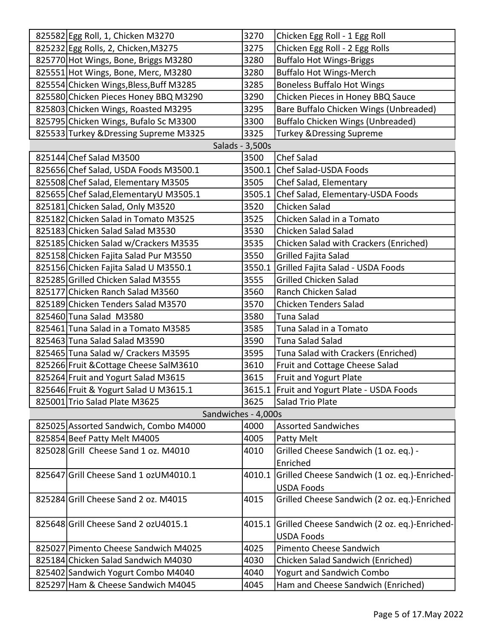| 825582 Egg Roll, 1, Chicken M3270       | 3270            | Chicken Egg Roll - 1 Egg Roll                        |
|-----------------------------------------|-----------------|------------------------------------------------------|
| 825232 Egg Rolls, 2, Chicken, M3275     | 3275            | Chicken Egg Roll - 2 Egg Rolls                       |
| 825770 Hot Wings, Bone, Briggs M3280    | 3280            | <b>Buffalo Hot Wings-Briggs</b>                      |
| 825551 Hot Wings, Bone, Merc, M3280     | 3280            | <b>Buffalo Hot Wings-Merch</b>                       |
| 825554 Chicken Wings, Bless, Buff M3285 | 3285            | <b>Boneless Buffalo Hot Wings</b>                    |
| 825580 Chicken Pieces Honey BBQ M3290   | 3290            | Chicken Pieces in Honey BBQ Sauce                    |
| 825803 Chicken Wings, Roasted M3295     | 3295            | Bare Buffalo Chicken Wings (Unbreaded)               |
| 825795 Chicken Wings, Bufalo Sc M3300   | 3300            | <b>Buffalo Chicken Wings (Unbreaded)</b>             |
| 825533 Turkey & Dressing Supreme M3325  | 3325            | <b>Turkey &amp; Dressing Supreme</b>                 |
|                                         | Salads - 3,500s |                                                      |
| 825144 Chef Salad M3500                 | 3500            | <b>Chef Salad</b>                                    |
| 825656 Chef Salad, USDA Foods M3500.1   |                 | 3500.1 Chef Salad-USDA Foods                         |
| 825508 Chef Salad, Elementary M3505     | 3505            | Chef Salad, Elementary                               |
| 825655 Chef Salad, Elementary U M3505.1 | 3505.1          | Chef Salad, Elementary-USDA Foods                    |
| 825181 Chicken Salad, Only M3520        | 3520            | Chicken Salad                                        |
| 825182 Chicken Salad in Tomato M3525    | 3525            | Chicken Salad in a Tomato                            |
| 825183 Chicken Salad Salad M3530        | 3530            | Chicken Salad Salad                                  |
| 825185 Chicken Salad w/Crackers M3535   | 3535            | Chicken Salad with Crackers (Enriched)               |
| 825158 Chicken Fajita Salad Pur M3550   | 3550            | Grilled Fajita Salad                                 |
| 825156 Chicken Fajita Salad U M3550.1   | 3550.1          | Grilled Fajita Salad - USDA Foods                    |
| 825285 Grilled Chicken Salad M3555      | 3555            | <b>Grilled Chicken Salad</b>                         |
| 825177 Chicken Ranch Salad M3560        | 3560            | Ranch Chicken Salad                                  |
| 825189 Chicken Tenders Salad M3570      | 3570            | <b>Chicken Tenders Salad</b>                         |
| 825460 Tuna Salad M3580                 | 3580            | Tuna Salad                                           |
| 825461 Tuna Salad in a Tomato M3585     | 3585            | Tuna Salad in a Tomato                               |
| 825463 Tuna Salad Salad M3590           | 3590            | Tuna Salad Salad                                     |
| 825465 Tuna Salad w/ Crackers M3595     | 3595            | Tuna Salad with Crackers (Enriched)                  |
| 825266 Fruit & Cottage Cheese SalM3610  | 3610            | Fruit and Cottage Cheese Salad                       |
| 825264 Fruit and Yogurt Salad M3615     | 3615            | Fruit and Yogurt Plate                               |
| 825646 Fruit & Yogurt Salad U M3615.1   |                 | 3615.1 Fruit and Yogurt Plate - USDA Foods           |
| 825001 Trio Salad Plate M3625           | 3625            | Salad Trio Plate                                     |
| Sandwiches - 4,000s                     |                 |                                                      |
| 825025 Assorted Sandwich, Combo M4000   | 4000            | <b>Assorted Sandwiches</b>                           |
| 825854 Beef Patty Melt M4005            | 4005            | Patty Melt                                           |
| 825028 Grill Cheese Sand 1 oz. M4010    | 4010            | Grilled Cheese Sandwich (1 oz. eq.) -                |
|                                         |                 | Enriched                                             |
| 825647 Grill Cheese Sand 1 ozUM4010.1   |                 | 4010.1 Grilled Cheese Sandwich (1 oz. eq.)-Enriched- |
|                                         |                 | <b>USDA Foods</b>                                    |
| 825284 Grill Cheese Sand 2 oz. M4015    | 4015            | Grilled Cheese Sandwich (2 oz. eq.)-Enriched         |
|                                         |                 |                                                      |
| 825648 Grill Cheese Sand 2 ozU4015.1    |                 | 4015.1 Grilled Cheese Sandwich (2 oz. eq.)-Enriched- |
|                                         |                 | <b>USDA Foods</b>                                    |
| 825027 Pimento Cheese Sandwich M4025    | 4025            | Pimento Cheese Sandwich                              |
| 825184 Chicken Salad Sandwich M4030     | 4030            | Chicken Salad Sandwich (Enriched)                    |
| 825402 Sandwich Yogurt Combo M4040      | 4040            | <b>Yogurt and Sandwich Combo</b>                     |
| 825297 Ham & Cheese Sandwich M4045      | 4045            | Ham and Cheese Sandwich (Enriched)                   |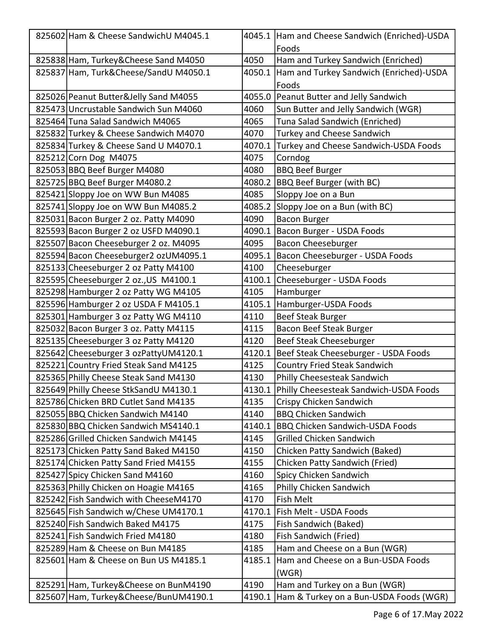| 825602 Ham & Cheese SandwichU M4045.1  |        | 4045.1 Ham and Cheese Sandwich (Enriched)-USDA |
|----------------------------------------|--------|------------------------------------------------|
|                                        |        | Foods                                          |
| 825838 Ham, Turkey&Cheese Sand M4050   | 4050   | Ham and Turkey Sandwich (Enriched)             |
| 825837 Ham, Turk&Cheese/SandU M4050.1  | 4050.1 | Ham and Turkey Sandwich (Enriched)-USDA        |
|                                        |        | Foods                                          |
| 825026 Peanut Butter&Jelly Sand M4055  |        | 4055.0 Peanut Butter and Jelly Sandwich        |
| 825473 Uncrustable Sandwich Sun M4060  | 4060   | Sun Butter and Jelly Sandwich (WGR)            |
| 825464 Tuna Salad Sandwich M4065       | 4065   | Tuna Salad Sandwich (Enriched)                 |
| 825832 Turkey & Cheese Sandwich M4070  | 4070   | Turkey and Cheese Sandwich                     |
| 825834 Turkey & Cheese Sand U M4070.1  | 4070.1 | Turkey and Cheese Sandwich-USDA Foods          |
| 825212 Corn Dog M4075                  | 4075   | Corndog                                        |
| 825053 BBQ Beef Burger M4080           | 4080   | <b>BBQ Beef Burger</b>                         |
| 825725 BBQ Beef Burger M4080.2         | 4080.2 | <b>BBQ Beef Burger (with BC)</b>               |
| 825421 Sloppy Joe on WW Bun M4085      | 4085   | Sloppy Joe on a Bun                            |
| 825741 Sloppy Joe on WW Bun M4085.2    | 4085.2 | Sloppy Joe on a Bun (with BC)                  |
| 825031 Bacon Burger 2 oz. Patty M4090  | 4090   | <b>Bacon Burger</b>                            |
| 825593 Bacon Burger 2 oz USFD M4090.1  | 4090.1 | Bacon Burger - USDA Foods                      |
| 825507 Bacon Cheeseburger 2 oz. M4095  | 4095   | Bacon Cheeseburger                             |
| 825594 Bacon Cheeseburger2 ozUM4095.1  | 4095.1 | Bacon Cheeseburger - USDA Foods                |
| 825133 Cheeseburger 2 oz Patty M4100   | 4100   | Cheeseburger                                   |
| 825595 Cheeseburger 2 oz., US M4100.1  | 4100.1 | Cheeseburger - USDA Foods                      |
| 825298 Hamburger 2 oz Patty WG M4105   | 4105   | Hamburger                                      |
| 825596 Hamburger 2 oz USDA F M4105.1   | 4105.1 | Hamburger-USDA Foods                           |
| 825301 Hamburger 3 oz Patty WG M4110   | 4110   | <b>Beef Steak Burger</b>                       |
| 825032 Bacon Burger 3 oz. Patty M4115  | 4115   | Bacon Beef Steak Burger                        |
| 825135 Cheeseburger 3 oz Patty M4120   | 4120   | Beef Steak Cheeseburger                        |
| 825642 Cheeseburger 3 ozPattyUM4120.1  | 4120.1 | Beef Steak Cheeseburger - USDA Foods           |
| 825221 Country Fried Steak Sand M4125  | 4125   | <b>Country Fried Steak Sandwich</b>            |
| 825365 Philly Cheese Steak Sand M4130  | 4130   | Philly Cheesesteak Sandwich                    |
| 825649 Philly Cheese StkSandU M4130.1  |        | 4130.1 Philly Cheesesteak Sandwich-USDA Foods  |
| 825786 Chicken BRD Cutlet Sand M4135   | 4135   | Crispy Chicken Sandwich                        |
| 825055 BBQ Chicken Sandwich M4140      | 4140   | <b>BBQ Chicken Sandwich</b>                    |
| 825830 BBQ Chicken Sandwich MS4140.1   | 4140.1 | <b>BBQ Chicken Sandwich-USDA Foods</b>         |
| 825286 Grilled Chicken Sandwich M4145  | 4145   | <b>Grilled Chicken Sandwich</b>                |
| 825173 Chicken Patty Sand Baked M4150  | 4150   | Chicken Patty Sandwich (Baked)                 |
| 825174 Chicken Patty Sand Fried M4155  | 4155   | Chicken Patty Sandwich (Fried)                 |
| 825427 Spicy Chicken Sand M4160        | 4160   | Spicy Chicken Sandwich                         |
| 825363 Philly Chicken on Hoagie M4165  | 4165   | Philly Chicken Sandwich                        |
| 825242 Fish Sandwich with CheeseM4170  | 4170   | Fish Melt                                      |
| 825645 Fish Sandwich w/Chese UM4170.1  | 4170.1 | Fish Melt - USDA Foods                         |
| 825240 Fish Sandwich Baked M4175       | 4175   | Fish Sandwich (Baked)                          |
| 825241 Fish Sandwich Fried M4180       | 4180   | Fish Sandwich (Fried)                          |
| 825289 Ham & Cheese on Bun M4185       | 4185   | Ham and Cheese on a Bun (WGR)                  |
| 825601 Ham & Cheese on Bun US M4185.1  | 4185.1 | Ham and Cheese on a Bun-USDA Foods             |
|                                        |        | (WGR)                                          |
| 825291 Ham, Turkey& Cheese on BunM4190 | 4190   | Ham and Turkey on a Bun (WGR)                  |
| 825607 Ham, Turkey&Cheese/BunUM4190.1  | 4190.1 | Ham & Turkey on a Bun-USDA Foods (WGR)         |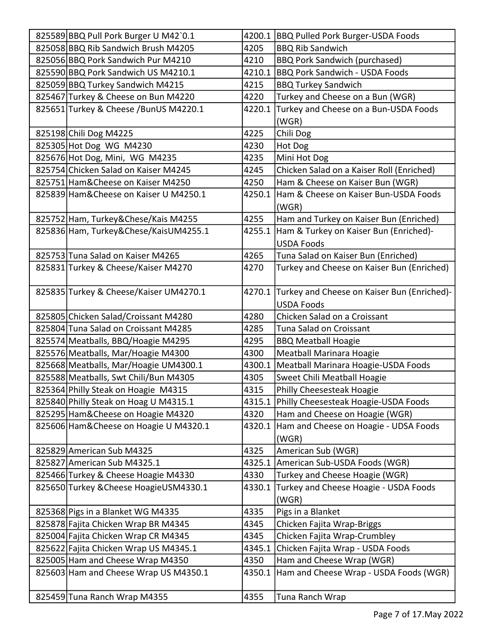| 825589 BBQ Pull Pork Burger U M42`0.1   |        | 4200.1 BBQ Pulled Pork Burger-USDA Foods           |
|-----------------------------------------|--------|----------------------------------------------------|
| 825058 BBQ Rib Sandwich Brush M4205     | 4205   | <b>BBQ Rib Sandwich</b>                            |
| 825056 BBQ Pork Sandwich Pur M4210      | 4210   | <b>BBQ Pork Sandwich (purchased)</b>               |
| 825590 BBQ Pork Sandwich US M4210.1     | 4210.1 | <b>BBQ Pork Sandwich - USDA Foods</b>              |
| 825059 BBQ Turkey Sandwich M4215        | 4215   | <b>BBQ Turkey Sandwich</b>                         |
| 825467 Turkey & Cheese on Bun M4220     | 4220   | Turkey and Cheese on a Bun (WGR)                   |
| 825651 Turkey & Cheese / BunUS M4220.1  | 4220.1 | Turkey and Cheese on a Bun-USDA Foods              |
|                                         |        | (WGR)                                              |
| 825198 Chili Dog M4225                  | 4225   | Chili Dog                                          |
| 825305 Hot Dog WG M4230                 | 4230   | Hot Dog                                            |
| 825676 Hot Dog, Mini, WG M4235          | 4235   | Mini Hot Dog                                       |
| 825754 Chicken Salad on Kaiser M4245    | 4245   | Chicken Salad on a Kaiser Roll (Enriched)          |
| 825751 Ham& Cheese on Kaiser M4250      | 4250   | Ham & Cheese on Kaiser Bun (WGR)                   |
| 825839 Ham& Cheese on Kaiser U M4250.1  | 4250.1 | Ham & Cheese on Kaiser Bun-USDA Foods              |
|                                         |        | (WGR)                                              |
| 825752 Ham, Turkey&Chese/Kais M4255     | 4255   | Ham and Turkey on Kaiser Bun (Enriched)            |
| 825836 Ham, Turkey&Chese/KaisUM4255.1   | 4255.1 | Ham & Turkey on Kaiser Bun (Enriched)-             |
|                                         |        | <b>USDA Foods</b>                                  |
| 825753 Tuna Salad on Kaiser M4265       | 4265   | Tuna Salad on Kaiser Bun (Enriched)                |
| 825831 Turkey & Cheese/Kaiser M4270     | 4270   | Turkey and Cheese on Kaiser Bun (Enriched)         |
|                                         |        |                                                    |
| 825835 Turkey & Cheese/Kaiser UM4270.1  |        | 4270.1 Turkey and Cheese on Kaiser Bun (Enriched)- |
|                                         |        | <b>USDA Foods</b>                                  |
| 825805 Chicken Salad/Croissant M4280    | 4280   | Chicken Salad on a Croissant                       |
| 825804 Tuna Salad on Croissant M4285    | 4285   | Tuna Salad on Croissant                            |
| 825574 Meatballs, BBQ/Hoagie M4295      | 4295   | <b>BBQ Meatball Hoagie</b>                         |
| 825576 Meatballs, Mar/Hoagie M4300      | 4300   | Meatball Marinara Hoagie                           |
| 825668 Meatballs, Mar/Hoagie UM4300.1   | 4300.1 | Meatball Marinara Hoagie-USDA Foods                |
| 825588 Meatballs, Swt Chili/Bun M4305   | 4305   | Sweet Chili Meatball Hoagie                        |
| 825364 Philly Steak on Hoagie M4315     | 4315   | <b>Philly Cheesesteak Hoagie</b>                   |
| 825840 Philly Steak on Hoag U M4315.1   |        | 4315.1 Philly Cheesesteak Hoagie-USDA Foods        |
| 825295 Ham& Cheese on Hoagie M4320      | 4320   | Ham and Cheese on Hoagie (WGR)                     |
| 825606 Ham& Cheese on Hoagie U M4320.1  |        | 4320.1 Ham and Cheese on Hoagie - UDSA Foods       |
|                                         |        | (WGR)                                              |
| 825829 American Sub M4325               | 4325   | American Sub (WGR)                                 |
| 825827 American Sub M4325.1             | 4325.1 | American Sub-USDA Foods (WGR)                      |
| 825466 Turkey & Cheese Hoagie M4330     | 4330   | Turkey and Cheese Hoagie (WGR)                     |
| 825650 Turkey & Cheese Hoagie USM4330.1 | 4330.1 | Turkey and Cheese Hoagie - USDA Foods              |
|                                         |        | (WGR)                                              |
| 825368 Pigs in a Blanket WG M4335       | 4335   | Pigs in a Blanket                                  |
| 825878 Fajita Chicken Wrap BR M4345     | 4345   | Chicken Fajita Wrap-Briggs                         |
| 825004 Fajita Chicken Wrap CR M4345     | 4345   | Chicken Fajita Wrap-Crumbley                       |
| 825622 Fajita Chicken Wrap US M4345.1   | 4345.1 | Chicken Fajita Wrap - USDA Foods                   |
| 825005 Ham and Cheese Wrap M4350        | 4350   | Ham and Cheese Wrap (WGR)                          |
| 825603 Ham and Cheese Wrap US M4350.1   | 4350.1 | Ham and Cheese Wrap - USDA Foods (WGR)             |
|                                         |        |                                                    |
| 825459 Tuna Ranch Wrap M4355            | 4355   | Tuna Ranch Wrap                                    |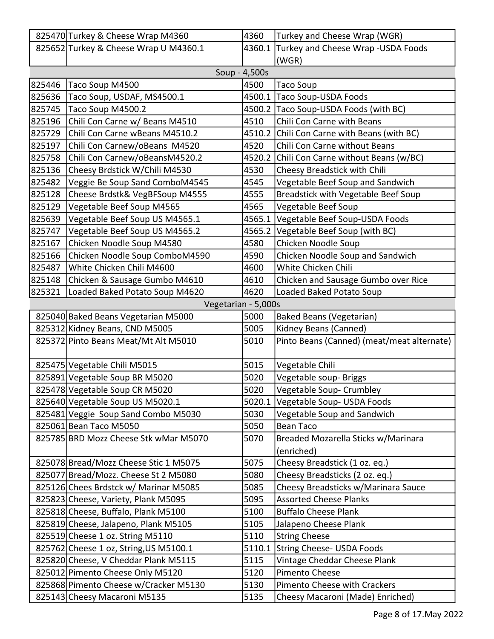|        | 825470 Turkey & Cheese Wrap M4360      | 4360          | Turkey and Cheese Wrap (WGR)                |
|--------|----------------------------------------|---------------|---------------------------------------------|
|        | 825652 Turkey & Cheese Wrap U M4360.1  | 4360.1        | Turkey and Cheese Wrap - USDA Foods         |
|        |                                        |               | (WGR)                                       |
|        |                                        | Soup - 4,500s |                                             |
| 825446 | Taco Soup M4500                        | 4500          | <b>Taco Soup</b>                            |
| 825636 | Taco Soup, USDAF, MS4500.1             | 4500.1        | <b>Taco Soup-USDA Foods</b>                 |
| 825745 | Taco Soup M4500.2                      |               | 4500.2 Taco Soup-USDA Foods (with BC)       |
| 825196 | Chili Con Carne w/ Beans M4510         | 4510          | Chili Con Carne with Beans                  |
| 825729 | Chili Con Carne wBeans M4510.2         |               | 4510.2 Chili Con Carne with Beans (with BC) |
| 825197 | Chili Con Carnew/oBeans M4520          | 4520          | Chili Con Carne without Beans               |
| 825758 | Chili Con Carnew/oBeansM4520.2         |               | 4520.2 Chili Con Carne without Beans (w/BC) |
| 825136 | Cheesy Brdstick W/Chili M4530          | 4530          | Cheesy Breadstick with Chili                |
| 825482 | Veggie Be Soup Sand ComboM4545         | 4545          | Vegetable Beef Soup and Sandwich            |
| 825128 | Cheese Brdstk& VegBFSoup M4555         | 4555          | Breadstick with Vegetable Beef Soup         |
| 825129 | Vegetable Beef Soup M4565              | 4565          | Vegetable Beef Soup                         |
| 825639 | Vegetable Beef Soup US M4565.1         | 4565.1        | Vegetable Beef Soup-USDA Foods              |
| 825747 | Vegetable Beef Soup US M4565.2         | 4565.2        | Vegetable Beef Soup (with BC)               |
| 825167 | Chicken Noodle Soup M4580              | 4580          | Chicken Noodle Soup                         |
| 825166 | Chicken Noodle Soup ComboM4590         | 4590          | Chicken Noodle Soup and Sandwich            |
| 825487 | White Chicken Chili M4600              | 4600          | White Chicken Chili                         |
| 825148 | Chicken & Sausage Gumbo M4610          | 4610          | Chicken and Sausage Gumbo over Rice         |
| 825321 | Loaded Baked Potato Soup M4620         | 4620          | Loaded Baked Potato Soup                    |
|        | Vegetarian - 5,000s                    |               |                                             |
|        | 825040 Baked Beans Vegetarian M5000    | 5000          | <b>Baked Beans (Vegetarian)</b>             |
|        | 825312 Kidney Beans, CND M5005         | 5005          | Kidney Beans (Canned)                       |
|        | 825372 Pinto Beans Meat/Mt Alt M5010   | 5010          | Pinto Beans (Canned) (meat/meat alternate)  |
|        |                                        |               |                                             |
|        | 825475 Vegetable Chili M5015           | 5015          | Vegetable Chili                             |
|        | 825891 Vegetable Soup BR M5020         | 5020          | Vegetable soup- Briggs                      |
|        | 825478 Vegetable Soup CR M5020         | 5020          | Vegetable Soup- Crumbley                    |
|        | 825640 Vegetable Soup US M5020.1       | 5020.1        | Vegetable Soup- USDA Foods                  |
|        | 825481 Veggie Soup Sand Combo M5030    | 5030          | Vegetable Soup and Sandwich                 |
|        | 825061 Bean Taco M5050                 | 5050          | <b>Bean Taco</b>                            |
|        | 825785 BRD Mozz Cheese Stk wMar M5070  | 5070          | Breaded Mozarella Sticks w/Marinara         |
|        |                                        |               | (enriched)                                  |
|        | 825078 Bread/Mozz Cheese Stic 1 M5075  | 5075          | Cheesy Breadstick (1 oz. eq.)               |
|        | 825077 Bread/Mozz. Cheese St 2 M5080   | 5080          | Cheesy Breadsticks (2 oz. eq.)              |
|        | 825126 Chees Brdstck w/ Marinar M5085  | 5085          | Cheesy Breadsticks w/Marinara Sauce         |
|        | 825823 Cheese, Variety, Plank M5095    | 5095          | <b>Assorted Cheese Planks</b>               |
|        | 825818 Cheese, Buffalo, Plank M5100    | 5100          | <b>Buffalo Cheese Plank</b>                 |
|        | 825819 Cheese, Jalapeno, Plank M5105   | 5105          | Jalapeno Cheese Plank                       |
|        | 825519 Cheese 1 oz. String M5110       | 5110          | <b>String Cheese</b>                        |
|        | 825762 Cheese 1 oz, String, US M5100.1 |               | 5110.1 String Cheese- USDA Foods            |
|        | 825820 Cheese, V Cheddar Plank M5115   | 5115          | Vintage Cheddar Cheese Plank                |
|        | 825012 Pimento Cheese Only M5120       | 5120          | Pimento Cheese                              |
|        | 825868 Pimento Cheese w/Cracker M5130  | 5130          | <b>Pimento Cheese with Crackers</b>         |
|        | 825143 Cheesy Macaroni M5135           | 5135          | Cheesy Macaroni (Made) Enriched)            |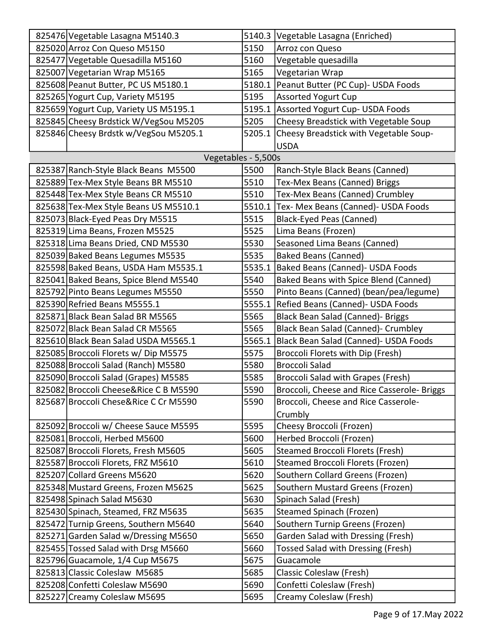| 825476 Vegetable Lasagna M5140.3      |        | 5140.3 Vegetable Lasagna (Enriched)         |
|---------------------------------------|--------|---------------------------------------------|
| 825020 Arroz Con Queso M5150          | 5150   | Arroz con Queso                             |
| 825477 Vegetable Quesadilla M5160     | 5160   | Vegetable quesadilla                        |
| 825007 Vegetarian Wrap M5165          | 5165   | Vegetarian Wrap                             |
| 825608 Peanut Butter, PC US M5180.1   | 5180.1 | Peanut Butter (PC Cup)- USDA Foods          |
| 825265 Yogurt Cup, Variety M5195      | 5195   | <b>Assorted Yogurt Cup</b>                  |
| 825659 Yogurt Cup, Variety US M5195.1 |        | 5195.1 Assorted Yogurt Cup- USDA Foods      |
| 825845 Cheesy Brdstick W/VegSou M5205 | 5205   | Cheesy Breadstick with Vegetable Soup       |
| 825846 Cheesy Brdstk w/VegSou M5205.1 | 5205.1 | Cheesy Breadstick with Vegetable Soup-      |
|                                       |        | <b>USDA</b>                                 |
| Vegetables - 5,500s                   |        |                                             |
| 825387 Ranch-Style Black Beans M5500  | 5500   | Ranch-Style Black Beans (Canned)            |
| 825889 Tex-Mex Style Beans BR M5510   | 5510   | Tex-Mex Beans (Canned) Briggs               |
| 825448 Tex-Mex Style Beans CR M5510   | 5510   | Tex-Mex Beans (Canned) Crumbley             |
| 825638 Tex-Mex Style Beans US M5510.1 | 5510.1 | Tex- Mex Beans (Canned)- USDA Foods         |
| 825073 Black-Eyed Peas Dry M5515      | 5515   | <b>Black-Eyed Peas (Canned)</b>             |
| 825319 Lima Beans, Frozen M5525       | 5525   | Lima Beans (Frozen)                         |
| 825318 Lima Beans Dried, CND M5530    | 5530   | Seasoned Lima Beans (Canned)                |
| 825039 Baked Beans Legumes M5535      | 5535   | <b>Baked Beans (Canned)</b>                 |
| 825598 Baked Beans, USDA Ham M5535.1  | 5535.1 | Baked Beans (Canned) - USDA Foods           |
| 825041 Baked Beans, Spice Blend M5540 | 5540   | Baked Beans with Spice Blend (Canned)       |
| 825792 Pinto Beans Legumes M5550      | 5550   | Pinto Beans (Canned) (bean/pea/legume)      |
| 825390 Refried Beans M5555.1          | 5555.1 | Refied Beans (Canned) - USDA Foods          |
| 825871 Black Bean Salad BR M5565      | 5565   | Black Bean Salad (Canned)- Briggs           |
| 825072 Black Bean Salad CR M5565      | 5565   | Black Bean Salad (Canned)- Crumbley         |
| 825610 Black Bean Salad USDA M5565.1  | 5565.1 | Black Bean Salad (Canned)- USDA Foods       |
| 825085 Broccoli Florets w/ Dip M5575  | 5575   | Broccoli Florets with Dip (Fresh)           |
| 825088 Broccoli Salad (Ranch) M5580   | 5580   | <b>Broccoli Salad</b>                       |
| 825090 Broccoli Salad (Grapes) M5585  | 5585   | Broccoli Salad with Grapes (Fresh)          |
| 825082 Broccoli Cheese&Rice C B M5590 | 5590   | Broccoli, Cheese and Rice Casserole- Briggs |
| 825687 Broccoli Chese&Rice C Cr M5590 | 5590   | Broccoli, Cheese and Rice Casserole-        |
|                                       |        | Crumbly                                     |
| 825092 Broccoli w/ Cheese Sauce M5595 | 5595   | Cheesy Broccoli (Frozen)                    |
| 825081 Broccoli, Herbed M5600         | 5600   | Herbed Broccoli (Frozen)                    |
| 825087 Broccoli Florets, Fresh M5605  | 5605   | <b>Steamed Broccoli Florets (Fresh)</b>     |
| 825587 Broccoli Florets, FRZ M5610    | 5610   | Steamed Broccoli Florets (Frozen)           |
| 825207 Collard Greens M5620           | 5620   | Southern Collard Greens (Frozen)            |
| 825348 Mustard Greens, Frozen M5625   | 5625   | Southern Mustard Greens (Frozen)            |
| 825498 Spinach Salad M5630            | 5630   | Spinach Salad (Fresh)                       |
| 825430 Spinach, Steamed, FRZ M5635    | 5635   | <b>Steamed Spinach (Frozen)</b>             |
| 825472 Turnip Greens, Southern M5640  | 5640   | Southern Turnip Greens (Frozen)             |
| 825271 Garden Salad w/Dressing M5650  | 5650   | Garden Salad with Dressing (Fresh)          |
| 825455 Tossed Salad with Drsg M5660   | 5660   | Tossed Salad with Dressing (Fresh)          |
| 825796 Guacamole, 1/4 Cup M5675       | 5675   | Guacamole                                   |
| 825813 Classic Coleslaw M5685         | 5685   | Classic Coleslaw (Fresh)                    |
| 825208 Confetti Coleslaw M5690        | 5690   | Confetti Coleslaw (Fresh)                   |
| 825227 Creamy Coleslaw M5695          | 5695   | Creamy Coleslaw (Fresh)                     |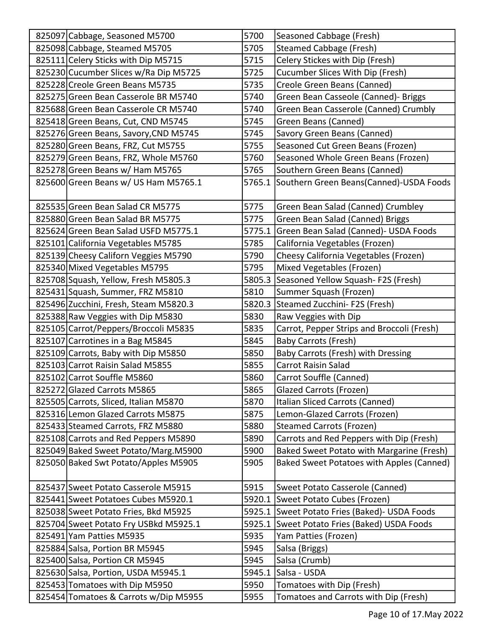| 825097 Cabbage, Seasoned M5700        | 5700   | Seasoned Cabbage (Fresh)                       |
|---------------------------------------|--------|------------------------------------------------|
| 825098 Cabbage, Steamed M5705         | 5705   | <b>Steamed Cabbage (Fresh)</b>                 |
| 825111 Celery Sticks with Dip M5715   | 5715   | Celery Stickes with Dip (Fresh)                |
| 825230 Cucumber Slices w/Ra Dip M5725 | 5725   | Cucumber Slices With Dip (Fresh)               |
| 825228 Creole Green Beans M5735       | 5735   | Creole Green Beans (Canned)                    |
| 825275 Green Bean Casserole BR M5740  | 5740   | Green Bean Casseole (Canned)- Briggs           |
| 825688 Green Bean Casserole CR M5740  | 5740   | Green Bean Casserole (Canned) Crumbly          |
| 825418 Green Beans, Cut, CND M5745    | 5745   | Green Beans (Canned)                           |
| 825276 Green Beans, Savory, CND M5745 | 5745   | Savory Green Beans (Canned)                    |
| 825280 Green Beans, FRZ, Cut M5755    | 5755   | Seasoned Cut Green Beans (Frozen)              |
| 825279 Green Beans, FRZ, Whole M5760  | 5760   | Seasoned Whole Green Beans (Frozen)            |
| 825278 Green Beans w/ Ham M5765       | 5765   | Southern Green Beans (Canned)                  |
| 825600 Green Beans w/ US Ham M5765.1  |        | 5765.1 Southern Green Beans(Canned)-USDA Foods |
| 825535 Green Bean Salad CR M5775      | 5775   | Green Bean Salad (Canned) Crumbley             |
| 825880 Green Bean Salad BR M5775      | 5775   | Green Bean Salad (Canned) Briggs               |
| 825624 Green Bean Salad USFD M5775.1  |        | 5775.1 Green Bean Salad (Canned)- USDA Foods   |
| 825101 California Vegetables M5785    | 5785   | California Vegetables (Frozen)                 |
| 825139 Cheesy Californ Veggies M5790  | 5790   | Cheesy California Vegetables (Frozen)          |
| 825340 Mixed Vegetables M5795         | 5795   | Mixed Vegetables (Frozen)                      |
| 825708 Squash, Yellow, Fresh M5805.3  | 5805.3 | Seasoned Yellow Squash- F2S (Fresh)            |
| 825431 Squash, Summer, FRZ M5810      | 5810   | Summer Squash (Frozen)                         |
| 825496 Zucchini, Fresh, Steam M5820.3 | 5820.3 | Steamed Zucchini- F2S (Fresh)                  |
| 825388 Raw Veggies with Dip M5830     | 5830   | Raw Veggies with Dip                           |
| 825105 Carrot/Peppers/Broccoli M5835  | 5835   | Carrot, Pepper Strips and Broccoli (Fresh)     |
| 825107 Carrotines in a Bag M5845      | 5845   | <b>Baby Carrots (Fresh)</b>                    |
| 825109 Carrots, Baby with Dip M5850   | 5850   | Baby Carrots (Fresh) with Dressing             |
| 825103 Carrot Raisin Salad M5855      | 5855   | <b>Carrot Raisin Salad</b>                     |
| 825102 Carrot Souffle M5860           | 5860   | Carrot Souffle (Canned)                        |
| 825272 Glazed Carrots M5865           | 5865   | Glazed Carrots (Frozen)                        |
| 825505 Carrots, Sliced, Italian M5870 | 5870   | Italian Sliced Carrots (Canned)                |
| 825316 Lemon Glazed Carrots M5875     | 5875   | Lemon-Glazed Carrots (Frozen)                  |
| 825433 Steamed Carrots, FRZ M5880     | 5880   | <b>Steamed Carrots (Frozen)</b>                |
| 825108 Carrots and Red Peppers M5890  | 5890   | Carrots and Red Peppers with Dip (Fresh)       |
| 825049 Baked Sweet Potato/Marg.M5900  | 5900   | Baked Sweet Potato with Margarine (Fresh)      |
| 825050 Baked Swt Potato/Apples M5905  | 5905   | Baked Sweet Potatoes with Apples (Canned)      |
| 825437 Sweet Potato Casserole M5915   | 5915   | Sweet Potato Casserole (Canned)                |
| 825441 Sweet Potatoes Cubes M5920.1   |        | 5920.1 Sweet Potato Cubes (Frozen)             |
| 825038 Sweet Potato Fries, Bkd M5925  |        | 5925.1 Sweet Potato Fries (Baked) - USDA Foods |
| 825704 Sweet Potato Fry USBkd M5925.1 | 5925.1 | Sweet Potato Fries (Baked) USDA Foods          |
| 825491 Yam Patties M5935              | 5935   | Yam Patties (Frozen)                           |
| 825884 Salsa, Portion BR M5945        | 5945   | Salsa (Briggs)                                 |
| 825400 Salsa, Portion CR M5945        | 5945   | Salsa (Crumb)                                  |
| 825630 Salsa, Portion, USDA M5945.1   | 5945.1 | Salsa - USDA                                   |
| 825453 Tomatoes with Dip M5950        | 5950   | Tomatoes with Dip (Fresh)                      |
| 825454 Tomatoes & Carrots w/Dip M5955 | 5955   | Tomatoes and Carrots with Dip (Fresh)          |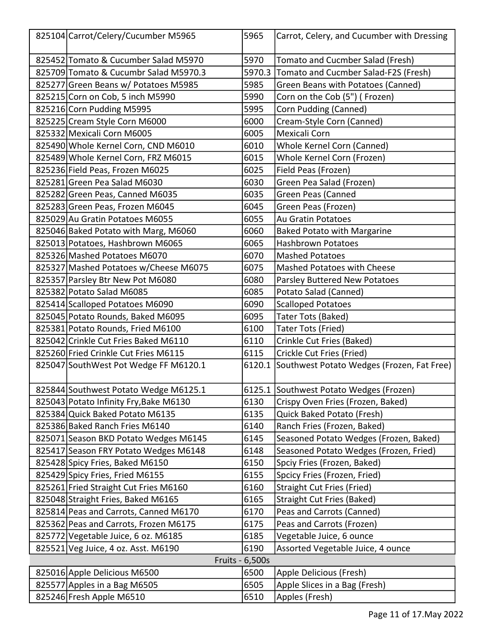| 825104 Carrot/Celery/Cucumber M5965    | 5965            | Carrot, Celery, and Cucumber with Dressing        |
|----------------------------------------|-----------------|---------------------------------------------------|
| 825452 Tomato & Cucumber Salad M5970   | 5970            | Tomato and Cucmber Salad (Fresh)                  |
| 825709 Tomato & Cucumbr Salad M5970.3  | 5970.3          | Tomato and Cucmber Salad-F2S (Fresh)              |
| 825277 Green Beans w/ Potatoes M5985   | 5985            | Green Beans with Potatoes (Canned)                |
| 825215 Corn on Cob, 5 inch M5990       | 5990            | Corn on the Cob (5") (Frozen)                     |
| 825216 Corn Pudding M5995              | 5995            | Corn Pudding (Canned)                             |
| 825225 Cream Style Corn M6000          | 6000            | Cream-Style Corn (Canned)                         |
| 825332 Mexicali Corn M6005             | 6005            | Mexicali Corn                                     |
| 825490 Whole Kernel Corn, CND M6010    | 6010            | Whole Kernel Corn (Canned)                        |
| 825489 Whole Kernel Corn, FRZ M6015    | 6015            | Whole Kernel Corn (Frozen)                        |
| 825236 Field Peas, Frozen M6025        | 6025            | Field Peas (Frozen)                               |
| 825281 Green Pea Salad M6030           | 6030            | Green Pea Salad (Frozen)                          |
| 825282 Green Peas, Canned M6035        | 6035            | Green Peas (Canned                                |
| 825283 Green Peas, Frozen M6045        | 6045            | Green Peas (Frozen)                               |
| 825029 Au Gratin Potatoes M6055        | 6055            | <b>Au Gratin Potatoes</b>                         |
| 825046 Baked Potato with Marg, M6060   | 6060            | <b>Baked Potato with Margarine</b>                |
| 825013 Potatoes, Hashbrown M6065       | 6065            | <b>Hashbrown Potatoes</b>                         |
| 825326 Mashed Potatoes M6070           | 6070            | <b>Mashed Potatoes</b>                            |
| 825327 Mashed Potatoes w/Cheese M6075  | 6075            | Mashed Potatoes with Cheese                       |
| 825357 Parsley Btr New Pot M6080       | 6080            | Parsley Buttered New Potatoes                     |
| 825382 Potato Salad M6085              | 6085            | Potato Salad (Canned)                             |
| 825414 Scalloped Potatoes M6090        | 6090            | <b>Scalloped Potatoes</b>                         |
| 825045 Potato Rounds, Baked M6095      | 6095            | Tater Tots (Baked)                                |
| 825381 Potato Rounds, Fried M6100      | 6100            | Tater Tots (Fried)                                |
| 825042 Crinkle Cut Fries Baked M6110   | 6110            | Crinkle Cut Fries (Baked)                         |
| 825260 Fried Crinkle Cut Fries M6115   | 6115            | Crickle Cut Fries (Fried)                         |
| 825047 SouthWest Pot Wedge FF M6120.1  |                 | 6120.1 Southwest Potato Wedges (Frozen, Fat Free) |
| 825844 Southwest Potato Wedge M6125.1  |                 | 6125.1 Southwest Potato Wedges (Frozen)           |
| 825043 Potato Infinity Fry, Bake M6130 | 6130            | Crispy Oven Fries (Frozen, Baked)                 |
| 825384 Quick Baked Potato M6135        | 6135            | Quick Baked Potato (Fresh)                        |
| 825386 Baked Ranch Fries M6140         | 6140            | Ranch Fries (Frozen, Baked)                       |
| 825071 Season BKD Potato Wedges M6145  | 6145            | Seasoned Potato Wedges (Frozen, Baked)            |
| 825417 Season FRY Potato Wedges M6148  | 6148            | Seasoned Potato Wedges (Frozen, Fried)            |
| 825428 Spicy Fries, Baked M6150        | 6150            | Spciy Fries (Frozen, Baked)                       |
| 825429 Spicy Fries, Fried M6155        | 6155            | Spcicy Fries (Frozen, Fried)                      |
| 825261 Fried Straight Cut Fries M6160  | 6160            | <b>Straight Cut Fries (Fried)</b>                 |
| 825048 Straight Fries, Baked M6165     | 6165            | <b>Straight Cut Fries (Baked)</b>                 |
| 825814 Peas and Carrots, Canned M6170  | 6170            | Peas and Carrots (Canned)                         |
| 825362 Peas and Carrots, Frozen M6175  | 6175            | Peas and Carrots (Frozen)                         |
| 825772 Vegetable Juice, 6 oz. M6185    | 6185            | Vegetable Juice, 6 ounce                          |
| 825521 Veg Juice, 4 oz. Asst. M6190    | 6190            | Assorted Vegetable Juice, 4 ounce                 |
|                                        | Fruits - 6,500s |                                                   |
| 825016 Apple Delicious M6500           | 6500            | Apple Delicious (Fresh)                           |
| 825577 Apples in a Bag M6505           | 6505            | Apple Slices in a Bag (Fresh)                     |
| 825246 Fresh Apple M6510               | 6510            | Apples (Fresh)                                    |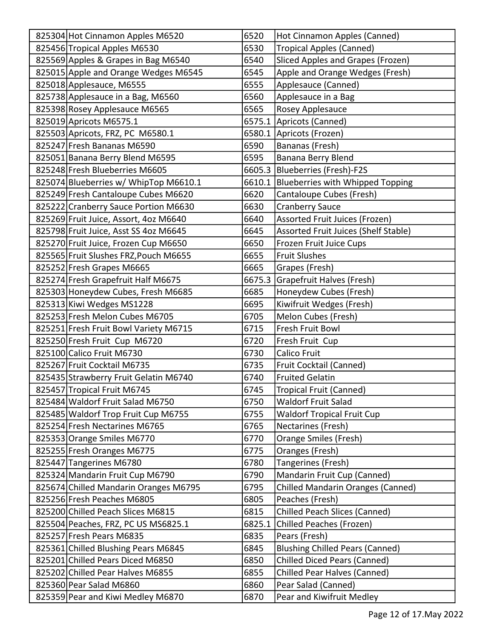| 825304 Hot Cinnamon Apples M6520      | 6520   | Hot Cinnamon Apples (Canned)             |
|---------------------------------------|--------|------------------------------------------|
| 825456 Tropical Apples M6530          | 6530   | <b>Tropical Apples (Canned)</b>          |
| 825569 Apples & Grapes in Bag M6540   | 6540   | Sliced Apples and Grapes (Frozen)        |
| 825015 Apple and Orange Wedges M6545  | 6545   | Apple and Orange Wedges (Fresh)          |
| 825018 Applesauce, M6555              | 6555   | Applesauce (Canned)                      |
| 825738 Applesauce in a Bag, M6560     | 6560   | Applesauce in a Bag                      |
| 825398 Rosey Applesauce M6565         | 6565   | Rosey Applesauce                         |
| 825019 Apricots M6575.1               |        | 6575.1 Apricots (Canned)                 |
| 825503 Apricots, FRZ, PC M6580.1      |        | 6580.1 Apricots (Frozen)                 |
| 825247 Fresh Bananas M6590            | 6590   | Bananas (Fresh)                          |
| 825051 Banana Berry Blend M6595       | 6595   | Banana Berry Blend                       |
| 825248 Fresh Blueberries M6605        |        | 6605.3 Blueberries (Fresh)-F2S           |
| 825074 Blueberries w/ WhipTop M6610.1 |        | 6610.1 Blueberries with Whipped Topping  |
| 825249 Fresh Cantaloupe Cubes M6620   | 6620   | Cantaloupe Cubes (Fresh)                 |
| 825222 Cranberry Sauce Portion M6630  | 6630   | <b>Cranberry Sauce</b>                   |
| 825269 Fruit Juice, Assort, 4oz M6640 | 6640   | Assorted Fruit Juices (Frozen)           |
| 825798 Fruit Juice, Asst SS 40z M6645 | 6645   | Assorted Fruit Juices (Shelf Stable)     |
| 825270 Fruit Juice, Frozen Cup M6650  | 6650   | Frozen Fruit Juice Cups                  |
| 825565 Fruit Slushes FRZ, Pouch M6655 | 6655   | <b>Fruit Slushes</b>                     |
| 825252 Fresh Grapes M6665             | 6665   | Grapes (Fresh)                           |
| 825274 Fresh Grapefruit Half M6675    | 6675.3 | Grapefruit Halves (Fresh)                |
| 825303 Honeydew Cubes, Fresh M6685    | 6685   | Honeydew Cubes (Fresh)                   |
| 825313 Kiwi Wedges MS1228             | 6695   | Kiwifruit Wedges (Fresh)                 |
| 825253 Fresh Melon Cubes M6705        | 6705   | Melon Cubes (Fresh)                      |
| 825251 Fresh Fruit Bowl Variety M6715 | 6715   | Fresh Fruit Bowl                         |
| 825250 Fresh Fruit Cup M6720          | 6720   | Fresh Fruit Cup                          |
| 825100 Calico Fruit M6730             | 6730   | <b>Calico Fruit</b>                      |
| 825267 Fruit Cocktail M6735           | 6735   | Fruit Cocktail (Canned)                  |
| 825435 Strawberry Fruit Gelatin M6740 | 6740   | <b>Fruited Gelatin</b>                   |
| 825457 Tropical Fruit M6745           | 6745   | Tropical Fruit (Canned)                  |
| 825484 Waldorf Fruit Salad M6750      | 6750   | <b>Waldorf Fruit Salad</b>               |
| 825485 Waldorf Trop Fruit Cup M6755   | 6755   | <b>Waldorf Tropical Fruit Cup</b>        |
| 825254 Fresh Nectarines M6765         | 6765   | Nectarines (Fresh)                       |
| 825353 Orange Smiles M6770            | 6770   | Orange Smiles (Fresh)                    |
| 825255 Fresh Oranges M6775            | 6775   | Oranges (Fresh)                          |
| 825447 Tangerines M6780               | 6780   | Tangerines (Fresh)                       |
| 825324 Mandarin Fruit Cup M6790       | 6790   | Mandarin Fruit Cup (Canned)              |
| 825674 Chilled Mandarin Oranges M6795 | 6795   | <b>Chilled Mandarin Oranges (Canned)</b> |
| 825256 Fresh Peaches M6805            | 6805   | Peaches (Fresh)                          |
| 825200 Chilled Peach Slices M6815     | 6815   | <b>Chilled Peach Slices (Canned)</b>     |
| 825504 Peaches, FRZ, PC US MS6825.1   | 6825.1 | Chilled Peaches (Frozen)                 |
| 825257 Fresh Pears M6835              | 6835   | Pears (Fresh)                            |
| 825361 Chilled Blushing Pears M6845   | 6845   | <b>Blushing Chilled Pears (Canned)</b>   |
| 825201 Chilled Pears Diced M6850      | 6850   | <b>Chilled Diced Pears (Canned)</b>      |
| 825202 Chilled Pear Halves M6855      | 6855   | <b>Chilled Pear Halves (Canned)</b>      |
| 825360 Pear Salad M6860               | 6860   | Pear Salad (Canned)                      |
| 825359 Pear and Kiwi Medley M6870     | 6870   | Pear and Kiwifruit Medley                |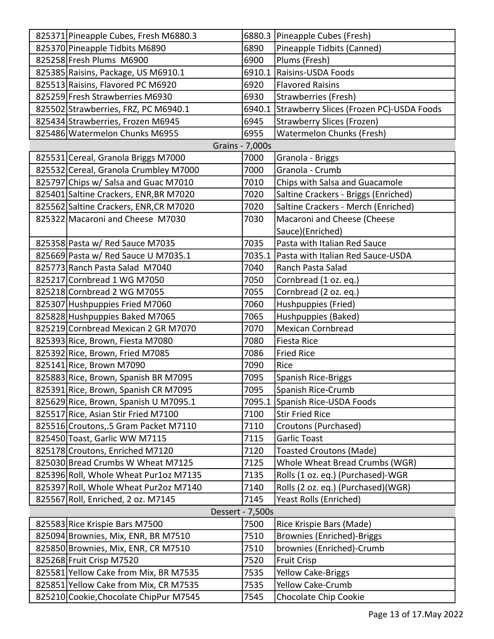| 825371 Pineapple Cubes, Fresh M6880.3  |                        | 6880.3 Pineapple Cubes (Fresh)           |
|----------------------------------------|------------------------|------------------------------------------|
| 825370 Pineapple Tidbits M6890         | 6890                   | Pineapple Tidbits (Canned)               |
| 825258 Fresh Plums M6900               | 6900                   | Plums (Fresh)                            |
| 825385 Raisins, Package, US M6910.1    | 6910.1                 | Raisins-USDA Foods                       |
| 825513 Raisins, Flavored PC M6920      | 6920                   | <b>Flavored Raisins</b>                  |
| 825259 Fresh Strawberries M6930        | 6930                   | Strawberries (Fresh)                     |
| 825502 Strawberries, FRZ, PC M6940.1   | 6940.1                 | Strawberry Slices (Frozen PC)-USDA Foods |
| 825434 Strawberries, Frozen M6945      | 6945                   | <b>Strawberry Slices (Frozen)</b>        |
| 825486 Watermelon Chunks M6955         | 6955                   | Watermelon Chunks (Fresh)                |
|                                        | <b>Grains - 7,000s</b> |                                          |
| 825531 Cereal, Granola Briggs M7000    | 7000                   | Granola - Briggs                         |
| 825532 Cereal, Granola Crumbley M7000  | 7000                   | Granola - Crumb                          |
| 825797 Chips w/ Salsa and Guac M7010   | 7010                   | Chips with Salsa and Guacamole           |
| 825401 Saltine Crackers, ENR, BR M7020 | 7020                   | Saltine Crackers - Briggs (Enriched)     |
| 825562 Saltine Crackers, ENR, CR M7020 | 7020                   | Saltine Crackers - Merch (Enriched)      |
| 825322 Macaroni and Cheese M7030       | 7030                   | Macaroni and Cheese (Cheese              |
|                                        |                        | Sauce)(Enriched)                         |
| 825358 Pasta w/ Red Sauce M7035        | 7035                   | Pasta with Italian Red Sauce             |
| 825669 Pasta w/ Red Sauce U M7035.1    | 7035.1                 | Pasta with Italian Red Sauce-USDA        |
| 825773 Ranch Pasta Salad M7040         | 7040                   | Ranch Pasta Salad                        |
| 825217 Cornbread 1 WG M7050            | 7050                   | Cornbread (1 oz. eq.)                    |
| 825218 Cornbread 2 WG M7055            | 7055                   | Cornbread (2 oz. eq.)                    |
| 825307 Hushpuppies Fried M7060         | 7060                   | Hushpuppies (Fried)                      |
| 825828 Hushpuppies Baked M7065         | 7065                   | Hushpuppies (Baked)                      |
| 825219 Cornbread Mexican 2 GR M7070    | 7070                   | <b>Mexican Cornbread</b>                 |
| 825393 Rice, Brown, Fiesta M7080       | 7080                   | <b>Fiesta Rice</b>                       |
| 825392 Rice, Brown, Fried M7085        | 7086                   | <b>Fried Rice</b>                        |
| 825141 Rice, Brown M7090               | 7090                   | Rice                                     |
| 825883 Rice, Brown, Spanish BR M7095   | 7095                   | <b>Spanish Rice-Briggs</b>               |
| 825391 Rice, Brown, Spanish CR M7095   | 7095                   | Spanish Rice-Crumb                       |
| 825629 Rice, Brown, Spanish U M7095.1  | 7095.1                 | Spanish Rice-USDA Foods                  |
| 825517 Rice, Asian Stir Fried M7100    | 7100                   | <b>Stir Fried Rice</b>                   |
| 825516 Croutons, 5 Gram Packet M7110   | 7110                   | Croutons (Purchased)                     |
| 825450 Toast, Garlic WW M7115          | 7115                   | <b>Garlic Toast</b>                      |
| 825178 Croutons, Enriched M7120        | 7120                   | <b>Toasted Croutons (Made)</b>           |
| 825030 Bread Crumbs W Wheat M7125      | 7125                   | Whole Wheat Bread Crumbs (WGR)           |
| 825396 Roll, Whole Wheat Pur1oz M7135  | 7135                   | Rolls (1 oz. eq.) (Purchased)-WGR        |
| 825397 Roll, Whole Wheat Pur2oz M7140  | 7140                   | Rolls (2 oz. eq.) (Purchased)(WGR)       |
| 825567 Roll, Enriched, 2 oz. M7145     | 7145                   | Yeast Rolls (Enriched)                   |
|                                        | Dessert - 7,500s       |                                          |
| 825583 Rice Krispie Bars M7500         | 7500                   | Rice Krispie Bars (Made)                 |
| 825094 Brownies, Mix, ENR, BR M7510    | 7510                   | <b>Brownies (Enriched)-Briggs</b>        |
| 825850 Brownies, Mix, ENR, CR M7510    | 7510                   | brownies (Enriched)-Crumb                |
| 825268 Fruit Crisp M7520               | 7520                   | <b>Fruit Crisp</b>                       |
| 825581 Yellow Cake from Mix, BR M7535  | 7535                   | Yellow Cake-Briggs                       |
| 825851 Yellow Cake from Mix, CR M7535  | 7535                   | <b>Yellow Cake-Crumb</b>                 |
| 825210 Cookie, Chocolate ChipPur M7545 | 7545                   | Chocolate Chip Cookie                    |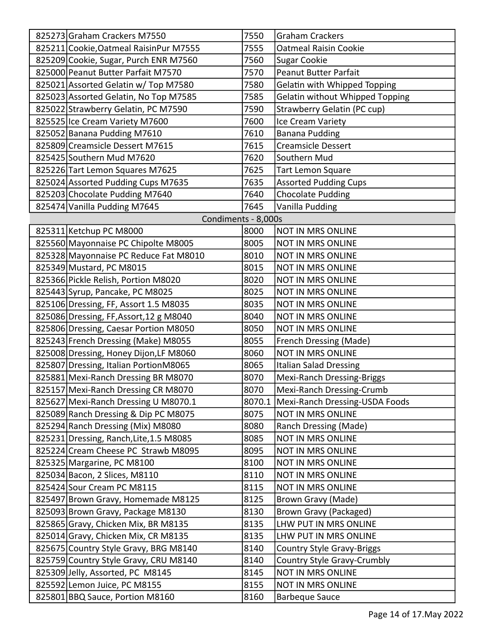| 825273 Graham Crackers M7550            | 7550   | <b>Graham Crackers</b>                 |
|-----------------------------------------|--------|----------------------------------------|
| 825211 Cookie, Oatmeal Raisin Pur M7555 | 7555   | <b>Oatmeal Raisin Cookie</b>           |
| 825209 Cookie, Sugar, Purch ENR M7560   | 7560   | <b>Sugar Cookie</b>                    |
| 825000 Peanut Butter Parfait M7570      | 7570   | <b>Peanut Butter Parfait</b>           |
| 825021 Assorted Gelatin w/ Top M7580    | 7580   | Gelatin with Whipped Topping           |
| 825023 Assorted Gelatin, No Top M7585   | 7585   | <b>Gelatin without Whipped Topping</b> |
| 825022 Strawberry Gelatin, PC M7590     | 7590   | Strawberry Gelatin (PC cup)            |
| 825525 Ice Cream Variety M7600          | 7600   | Ice Cream Variety                      |
| 825052 Banana Pudding M7610             | 7610   | <b>Banana Pudding</b>                  |
| 825809 Creamsicle Dessert M7615         | 7615   | <b>Creamsicle Dessert</b>              |
| 825425 Southern Mud M7620               | 7620   | Southern Mud                           |
| 825226 Tart Lemon Squares M7625         | 7625   | <b>Tart Lemon Square</b>               |
| 825024 Assorted Pudding Cups M7635      | 7635   | <b>Assorted Pudding Cups</b>           |
| 825203 Chocolate Pudding M7640          | 7640   | <b>Chocolate Pudding</b>               |
| 825474 Vanilla Pudding M7645            | 7645   | Vanilla Pudding                        |
| Condiments - 8,000s                     |        |                                        |
| 825311 Ketchup PC M8000                 | 8000   | <b>NOT IN MRS ONLINE</b>               |
| 825560 Mayonnaise PC Chipolte M8005     | 8005   | <b>NOT IN MRS ONLINE</b>               |
| 825328 Mayonnaise PC Reduce Fat M8010   | 8010   | <b>NOT IN MRS ONLINE</b>               |
| 825349 Mustard, PC M8015                | 8015   | <b>NOT IN MRS ONLINE</b>               |
| 825366 Pickle Relish, Portion M8020     | 8020   | <b>NOT IN MRS ONLINE</b>               |
| 825443 Syrup, Pancake, PC M8025         | 8025   | <b>NOT IN MRS ONLINE</b>               |
| 825106 Dressing, FF, Assort 1.5 M8035   | 8035   | <b>NOT IN MRS ONLINE</b>               |
| 825086 Dressing, FF, Assort, 12 g M8040 | 8040   | NOT IN MRS ONLINE                      |
| 825806 Dressing, Caesar Portion M8050   | 8050   | <b>NOT IN MRS ONLINE</b>               |
| 825243 French Dressing (Make) M8055     | 8055   | French Dressing (Made)                 |
| 825008 Dressing, Honey Dijon, LF M8060  | 8060   | <b>NOT IN MRS ONLINE</b>               |
| 825807 Dressing, Italian PortionM8065   | 8065   | <b>Italian Salad Dressing</b>          |
| 825881 Mexi-Ranch Dressing BR M8070     | 8070   | Mexi-Ranch Dressing-Briggs             |
| 825157 Mexi-Ranch Dressing CR M8070     | 8070   | Mexi-Ranch Dressing-Crumb              |
| 825627 Mexi-Ranch Dressing U M8070.1    | 8070.1 | Mexi-Ranch Dressing-USDA Foods         |
| 825089 Ranch Dressing & Dip PC M8075    | 8075   | <b>NOT IN MRS ONLINE</b>               |
| 825294 Ranch Dressing (Mix) M8080       | 8080   | Ranch Dressing (Made)                  |
| 825231 Dressing, Ranch, Lite, 1.5 M8085 | 8085   | <b>NOT IN MRS ONLINE</b>               |
| 825224 Cream Cheese PC Strawb M8095     | 8095   | NOT IN MRS ONLINE                      |
| 825325 Margarine, PC M8100              | 8100   | NOT IN MRS ONLINE                      |
| 825034 Bacon, 2 Slices, M8110           | 8110   | NOT IN MRS ONLINE                      |
| 825424 Sour Cream PC M8115              | 8115   | <b>NOT IN MRS ONLINE</b>               |
| 825497 Brown Gravy, Homemade M8125      | 8125   | Brown Gravy (Made)                     |
| 825093 Brown Gravy, Package M8130       | 8130   | Brown Gravy (Packaged)                 |
| 825865 Gravy, Chicken Mix, BR M8135     | 8135   | LHW PUT IN MRS ONLINE                  |
| 825014 Gravy, Chicken Mix, CR M8135     | 8135   | LHW PUT IN MRS ONLINE                  |
| 825675 Country Style Gravy, BRG M8140   | 8140   | <b>Country Style Gravy-Briggs</b>      |
| 825759 Country Style Gravy, CRU M8140   | 8140   | Country Style Gravy-Crumbly            |
| 825309 Jelly, Assorted, PC M8145        | 8145   | NOT IN MRS ONLINE                      |
| 825592 Lemon Juice, PC M8155            | 8155   | NOT IN MRS ONLINE                      |
| 825801 BBQ Sauce, Portion M8160         | 8160   | <b>Barbeque Sauce</b>                  |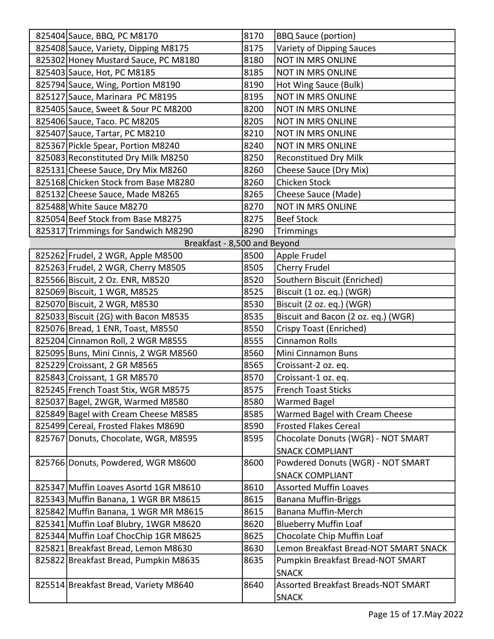| 825404 Sauce, BBQ, PC M8170           | 8170 | <b>BBQ Sauce (portion)</b>                 |
|---------------------------------------|------|--------------------------------------------|
| 825408 Sauce, Variety, Dipping M8175  | 8175 | Variety of Dipping Sauces                  |
| 825302 Honey Mustard Sauce, PC M8180  | 8180 | NOT IN MRS ONLINE                          |
| 825403 Sauce, Hot, PC M8185           | 8185 | <b>NOT IN MRS ONLINE</b>                   |
| 825794 Sauce, Wing, Portion M8190     | 8190 | Hot Wing Sauce (Bulk)                      |
| 825127 Sauce, Marinara PC M8195       | 8195 | <b>NOT IN MRS ONLINE</b>                   |
| 825405 Sauce, Sweet & Sour PC M8200   | 8200 | NOT IN MRS ONLINE                          |
| 825406 Sauce, Taco. PC M8205          | 8205 | <b>NOT IN MRS ONLINE</b>                   |
| 825407 Sauce, Tartar, PC M8210        | 8210 | <b>NOT IN MRS ONLINE</b>                   |
| 825367 Pickle Spear, Portion M8240    | 8240 | <b>NOT IN MRS ONLINE</b>                   |
| 825083 Reconstituted Dry Milk M8250   | 8250 | <b>Reconstitued Dry Milk</b>               |
| 825131 Cheese Sauce, Dry Mix M8260    | 8260 | Cheese Sauce (Dry Mix)                     |
| 825168 Chicken Stock from Base M8280  | 8260 | <b>Chicken Stock</b>                       |
| 825132 Cheese Sauce, Made M8265       | 8265 | Cheese Sauce (Made)                        |
| 825488 White Sauce M8270              | 8270 | NOT IN MRS ONLINE                          |
| 825054 Beef Stock from Base M8275     | 8275 | <b>Beef Stock</b>                          |
| 825317 Trimmings for Sandwich M8290   | 8290 | Trimmings                                  |
| Breakfast - 8,500 and Beyond          |      |                                            |
| 825262 Frudel, 2 WGR, Apple M8500     | 8500 | Apple Frudel                               |
| 825263 Frudel, 2 WGR, Cherry M8505    | 8505 | Cherry Frudel                              |
| 825566 Biscuit, 2 Oz. ENR, M8520      | 8520 | Southern Biscuit (Enriched)                |
| 825069 Biscuit, 1 WGR, M8525          | 8525 | Biscuit (1 oz. eq.) (WGR)                  |
| 825070 Biscuit, 2 WGR, M8530          | 8530 | Biscuit (2 oz. eq.) (WGR)                  |
| 825033 Biscuit (2G) with Bacon M8535  | 8535 | Biscuit and Bacon (2 oz. eq.) (WGR)        |
| 825076 Bread, 1 ENR, Toast, M8550     | 8550 | Crispy Toast (Enriched)                    |
| 825204 Cinnamon Roll, 2 WGR M8555     | 8555 | <b>Cinnamon Rolls</b>                      |
| 825095 Buns, Mini Cinnis, 2 WGR M8560 | 8560 | Mini Cinnamon Buns                         |
| 825229 Croissant, 2 GR M8565          | 8565 | Croissant-2 oz. eq.                        |
| 825843 Croissant, 1 GR M8570          | 8570 | Croissant-1 oz. eq.                        |
| 825245 French Toast Stix, WGR M8575   | 8575 | <b>French Toast Sticks</b>                 |
| 825037 Bagel, 2WGR, Warmed M8580      | 8580 | Warmed Bagel                               |
| 825849 Bagel with Cream Cheese M8585  | 8585 | Warmed Bagel with Cream Cheese             |
| 825499 Cereal, Frosted Flakes M8690   | 8590 | <b>Frosted Flakes Cereal</b>               |
| 825767 Donuts, Chocolate, WGR, M8595  | 8595 | Chocolate Donuts (WGR) - NOT SMART         |
|                                       |      | <b>SNACK COMPLIANT</b>                     |
| 825766 Donuts, Powdered, WGR M8600    | 8600 | Powdered Donuts (WGR) - NOT SMART          |
|                                       |      | <b>SNACK COMPLIANT</b>                     |
| 825347 Muffin Loaves Asortd 1GR M8610 | 8610 | <b>Assorted Muffin Loaves</b>              |
| 825343 Muffin Banana, 1 WGR BR M8615  | 8615 | <b>Banana Muffin-Briggs</b>                |
| 825842 Muffin Banana, 1 WGR MR M8615  | 8615 | Banana Muffin-Merch                        |
| 825341 Muffin Loaf Blubry, 1WGR M8620 | 8620 | <b>Blueberry Muffin Loaf</b>               |
| 825344 Muffin Loaf ChocChip 1GR M8625 | 8625 | Chocolate Chip Muffin Loaf                 |
| 825821 Breakfast Bread, Lemon M8630   | 8630 | Lemon Breakfast Bread-NOT SMART SNACK      |
| 825822 Breakfast Bread, Pumpkin M8635 | 8635 | Pumpkin Breakfast Bread-NOT SMART          |
|                                       |      | <b>SNACK</b>                               |
| 825514 Breakfast Bread, Variety M8640 | 8640 | <b>Assorted Breakfast Breads-NOT SMART</b> |
|                                       |      | <b>SNACK</b>                               |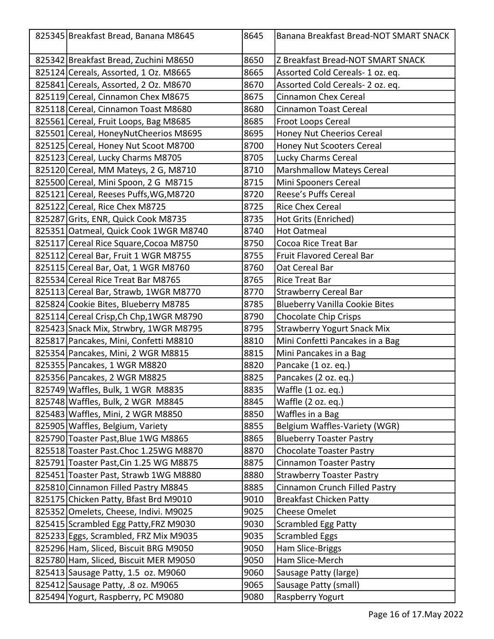| 825345 Breakfast Bread, Banana M8645    | 8645 | Banana Breakfast Bread-NOT SMART SNACK |
|-----------------------------------------|------|----------------------------------------|
| 825342 Breakfast Bread, Zuchini M8650   | 8650 | Z Breakfast Bread-NOT SMART SNACK      |
| 825124 Cereals, Assorted, 1 Oz. M8665   | 8665 | Assorted Cold Cereals- 1 oz. eq.       |
| 825841 Cereals, Assorted, 2 Oz. M8670   | 8670 | Assorted Cold Cereals- 2 oz. eq.       |
| 825119 Cereal, Cinnamon Chex M8675      | 8675 | <b>Cinnamon Chex Cereal</b>            |
| 825118 Cereal, Cinnamon Toast M8680     | 8680 | <b>Cinnamon Toast Cereal</b>           |
| 825561 Cereal, Fruit Loops, Bag M8685   | 8685 | Froot Loops Cereal                     |
| 825501 Cereal, HoneyNutCheerios M8695   | 8695 | Honey Nut Cheerios Cereal              |
| 825125 Cereal, Honey Nut Scoot M8700    | 8700 | Honey Nut Scooters Cereal              |
| 825123 Cereal, Lucky Charms M8705       | 8705 | Lucky Charms Cereal                    |
| 825120 Cereal, MM Mateys, 2 G, M8710    | 8710 | <b>Marshmallow Mateys Cereal</b>       |
| 825500 Cereal, Mini Spoon, 2 G M8715    | 8715 | Mini Spooners Cereal                   |
| 825121 Cereal, Reeses Puffs, WG, M8720  | 8720 | Reese's Puffs Cereal                   |
| 825122 Cereal, Rice Chex M8725          | 8725 | <b>Rice Chex Cereal</b>                |
| 825287 Grits, ENR, Quick Cook M8735     | 8735 | Hot Grits (Enriched)                   |
| 825351 Oatmeal, Quick Cook 1WGR M8740   | 8740 | <b>Hot Oatmeal</b>                     |
| 825117 Cereal Rice Square, Cocoa M8750  | 8750 | Cocoa Rice Treat Bar                   |
| 825112 Cereal Bar, Fruit 1 WGR M8755    | 8755 | Fruit Flavored Cereal Bar              |
| 825115 Cereal Bar, Oat, 1 WGR M8760     | 8760 | Oat Cereal Bar                         |
| 825534 Cereal Rice Treat Bar M8765      | 8765 | <b>Rice Treat Bar</b>                  |
| 825113 Cereal Bar, Strawb, 1WGR M8770   | 8770 | <b>Strawberry Cereal Bar</b>           |
| 825824 Cookie Bites, Blueberry M8785    | 8785 | <b>Blueberry Vanilla Cookie Bites</b>  |
| 825114 Cereal Crisp, Ch Chp, 1WGR M8790 | 8790 | <b>Chocolate Chip Crisps</b>           |
| 825423 Snack Mix, Strwbry, 1WGR M8795   | 8795 | <b>Strawberry Yogurt Snack Mix</b>     |
| 825817 Pancakes, Mini, Confetti M8810   | 8810 | Mini Confetti Pancakes in a Bag        |
| 825354 Pancakes, Mini, 2 WGR M8815      | 8815 | Mini Pancakes in a Bag                 |
| 825355 Pancakes, 1 WGR M8820            | 8820 | Pancake (1 oz. eq.)                    |
| 825356 Pancakes, 2 WGR M8825            | 8825 | Pancakes (2 oz. eq.)                   |
| 825749 Waffles, Bulk, 1 WGR M8835       | 8835 | Waffle (1 oz. eq.)                     |
| 825748 Waffles, Bulk, 2 WGR M8845       | 8845 | Waffle (2 oz. eq.)                     |
| 825483 Waffles, Mini, 2 WGR M8850       | 8850 | Waffles in a Bag                       |
| 825905   Waffles, Belgium, Variety      | 8855 | Belgium Waffles-Variety (WGR)          |
| 825790 Toaster Past, Blue 1WG M8865     | 8865 | <b>Blueberry Toaster Pastry</b>        |
| 825518 Toaster Past. Choc 1.25WG M8870  | 8870 | <b>Chocolate Toaster Pastry</b>        |
| 825791 Toaster Past, Cin 1.25 WG M8875  | 8875 | <b>Cinnamon Toaster Pastry</b>         |
| 825451 Toaster Past, Strawb 1WG M8880   | 8880 | <b>Strawberry Toaster Pastry</b>       |
| 825810 Cinnamon Filled Pastry M8845     | 8885 | Cinnamon Crunch Filled Pastry          |
| 825175 Chicken Patty, Bfast Brd M9010   | 9010 | <b>Breakfast Chicken Patty</b>         |
| 825352 Omelets, Cheese, Indivi. M9025   | 9025 | <b>Cheese Omelet</b>                   |
| 825415 Scrambled Egg Patty, FRZ M9030   | 9030 | <b>Scrambled Egg Patty</b>             |
| 825233 Eggs, Scrambled, FRZ Mix M9035   | 9035 | <b>Scrambled Eggs</b>                  |
| 825296 Ham, Sliced, Biscuit BRG M9050   | 9050 | Ham Slice-Briggs                       |
| 825780 Ham, Sliced, Biscuit MER M9050   | 9050 | Ham Slice-Merch                        |
| 825413 Sausage Patty, 1.5 oz. M9060     | 9060 | Sausage Patty (large)                  |
| 825412 Sausage Patty, .8 oz. M9065      | 9065 | Sausage Patty (small)                  |
| 825494 Yogurt, Raspberry, PC M9080      | 9080 | Raspberry Yogurt                       |